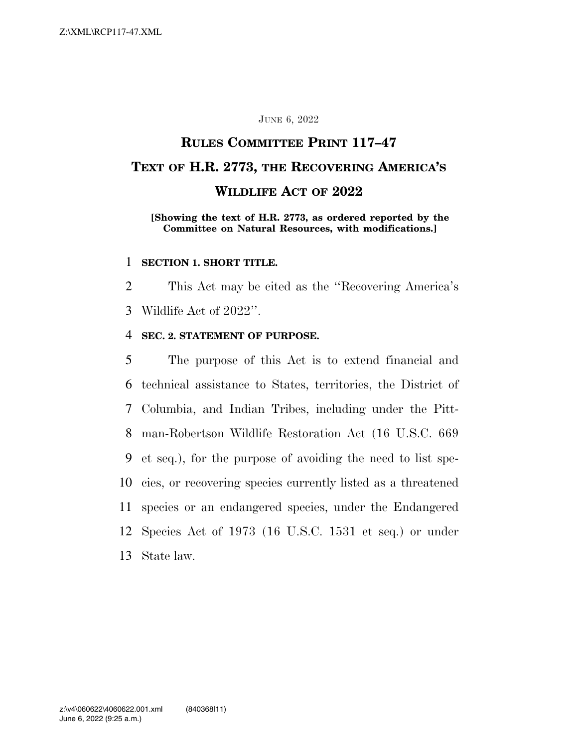#### JUNE 6, 2022

## **RULES COMMITTEE PRINT 117–47 TEXT OF H.R. 2773, THE RECOVERING AMERICA'S WILDLIFE ACT OF 2022**

#### **[Showing the text of H.R. 2773, as ordered reported by the Committee on Natural Resources, with modifications.]**

#### 1 **SECTION 1. SHORT TITLE.**

2 This Act may be cited as the ''Recovering America's 3 Wildlife Act of 2022''.

#### 4 **SEC. 2. STATEMENT OF PURPOSE.**

 The purpose of this Act is to extend financial and technical assistance to States, territories, the District of Columbia, and Indian Tribes, including under the Pitt- man-Robertson Wildlife Restoration Act (16 U.S.C. 669 et seq.), for the purpose of avoiding the need to list spe- cies, or recovering species currently listed as a threatened species or an endangered species, under the Endangered Species Act of 1973 (16 U.S.C. 1531 et seq.) or under State law.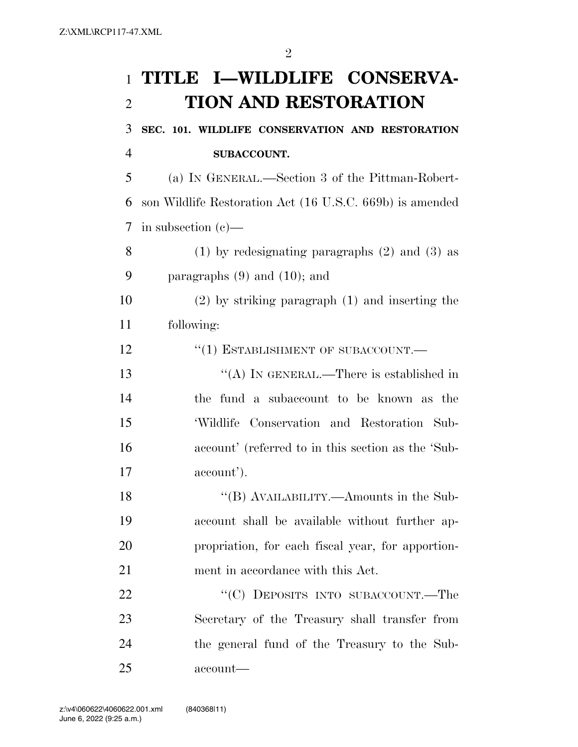# **TITLE I—WILDLIFE CONSERVA-TION AND RESTORATION**

 **SEC. 101. WILDLIFE CONSERVATION AND RESTORATION SUBACCOUNT.** 

 (a) IN GENERAL.—Section 3 of the Pittman-Robert- son Wildlife Restoration Act (16 U.S.C. 669b) is amended in subsection (c)—

 (1) by redesignating paragraphs (2) and (3) as paragraphs (9) and (10); and

 (2) by striking paragraph (1) and inserting the following:

12 "(1) ESTABLISHMENT OF SUBACCOUNT.—

13 "(A) In GENERAL.—There is established in the fund a subaccount to be known as the 'Wildlife Conservation and Restoration Sub- account' (referred to in this section as the 'Sub-account').

 ''(B) AVAILABILITY.—Amounts in the Sub- account shall be available without further ap- propriation, for each fiscal year, for apportion-ment in accordance with this Act.

22 "'(C) DEPOSITS INTO SUBACCOUNT.—The Secretary of the Treasury shall transfer from the general fund of the Treasury to the Sub-account—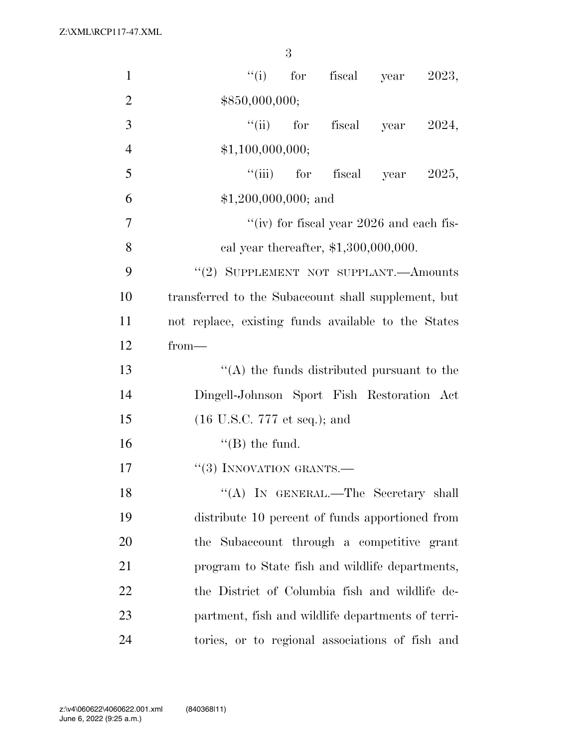| $\mathbf{1}$   | "(i) for fiscal year $2023$ ,                       |
|----------------|-----------------------------------------------------|
| $\overline{2}$ | \$850,000,000;                                      |
| 3              | "(ii) for fiscal year<br>2024,                      |
| $\overline{4}$ | \$1,100,000,000;                                    |
| 5              | "(iii) for fiscal year $2025$ ,                     |
| 6              | $$1,200,000,000;$ and                               |
| $\overline{7}$ | "(iv) for fiscal year 2026 and each fis-            |
| 8              | cal year thereafter, $$1,300,000,000$ .             |
| 9              | "(2) SUPPLEMENT NOT SUPPLANT.—Amounts               |
| 10             | transferred to the Subaccount shall supplement, but |
| 11             | not replace, existing funds available to the States |
| 12             | $from-$                                             |
| 13             | $\lq\lq$ the funds distributed pursuant to the      |
| 14             | Dingell-Johnson Sport Fish Restoration Act          |
| 15             | $(16 \text{ U.S.C. } 777 \text{ et seq.});$ and     |
| 16             | $\lq\lq$ (B) the fund.                              |
| 17             | $``(3)$ INNOVATION GRANTS.—                         |
| 18             | "(A) IN GENERAL.—The Secretary shall                |
| 19             | distribute 10 percent of funds apportioned from     |
| 20             | the Subaccount through a competitive grant          |
| 21             | program to State fish and wildlife departments,     |
| 22             | the District of Columbia fish and wildlife de-      |
| 23             | partment, fish and wildlife departments of terri-   |
| 24             | tories, or to regional associations of fish and     |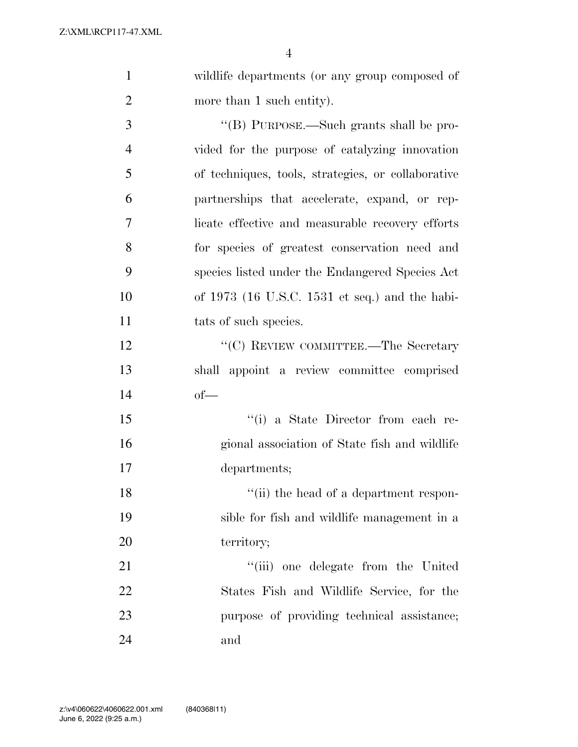wildlife departments (or any group composed of

| $\overline{2}$ | more than 1 such entity).                          |
|----------------|----------------------------------------------------|
| 3              | "(B) PURPOSE.—Such grants shall be pro-            |
| $\overline{4}$ | vided for the purpose of catalyzing innovation     |
| 5              | of techniques, tools, strategies, or collaborative |
| 6              | partnerships that accelerate, expand, or rep-      |
| 7              | licate effective and measurable recovery efforts   |
| 8              | for species of greatest conservation need and      |
| 9              | species listed under the Endangered Species Act    |
| 10             | of $1973$ (16 U.S.C. 1531 et seq.) and the habi-   |
| 11             | tats of such species.                              |
| 12             | "(C) REVIEW COMMITTEE.—The Secretary               |
| 13             | shall appoint a review committee comprised         |
| 14             | $of$ —                                             |
| 15             | "(i) a State Director from each re-                |
| 16             | gional association of State fish and wildlife      |
| 17             | departments;                                       |
| 18             | "(ii) the head of a department respon-             |
| 19             | sible for fish and wildlife management in a        |
| 20             | territory;                                         |
| 21             | "(iii) one delegate from the United                |
| 22             | States Fish and Wildlife Service, for the          |
| 23             | purpose of providing technical assistance;         |

and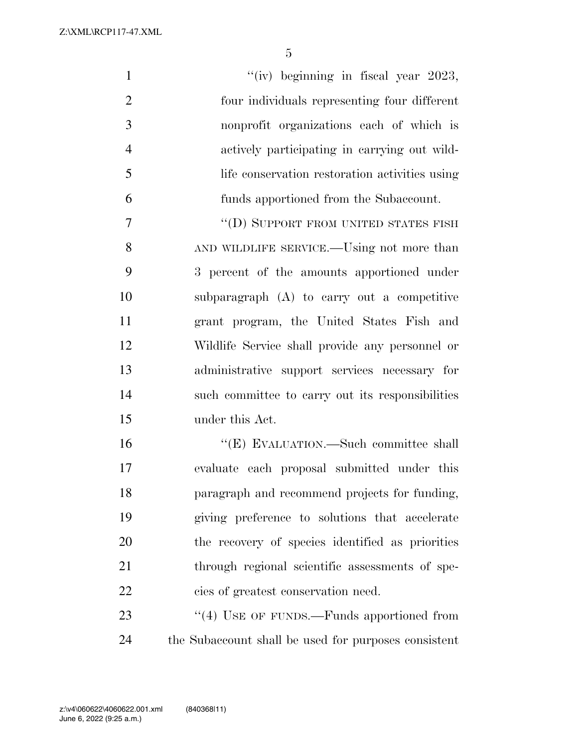| $\mathbf{1}$   | "(iv) beginning in fiscal year $2023$ ,                   |
|----------------|-----------------------------------------------------------|
| $\overline{2}$ | four individuals representing four different              |
| 3              | nonprofit organizations each of which is                  |
| $\overline{4}$ | actively participating in carrying out wild-              |
| 5              | life conservation restoration activities using            |
| 6              | funds apportioned from the Subaccount.                    |
| 7              | "(D) SUPPORT FROM UNITED STATES FISH                      |
| 8              | AND WILDLIFE SERVICE.—Using not more than                 |
| 9              | 3 percent of the amounts apportioned under                |
| 10             | subparagraph $(A)$ to carry out a competitive             |
| 11             | grant program, the United States Fish and                 |
| 12             | Wildlife Service shall provide any personnel or           |
| 13             | administrative support services necessary for             |
| 14             | such committee to carry out its responsibilities          |
| 15             | under this Act.                                           |
| 16             | "(E) EVALUATION.—Such committee shall                     |
| 17             | evaluate each proposal submitted under this               |
| 18             | paragraph and recommend projects for funding,             |
| 19             | giving preference to solutions that accelerate            |
| 20             | the recovery of species identified as priorities          |
| 21             | through regional scientific assessments of spe-           |
| 22             | cies of greatest conservation need.                       |
| 23             | $\cdot\cdot\cdot(4)$ USE OF FUNDS.—Funds apportioned from |
| 24             | the Subaccount shall be used for purposes consistent      |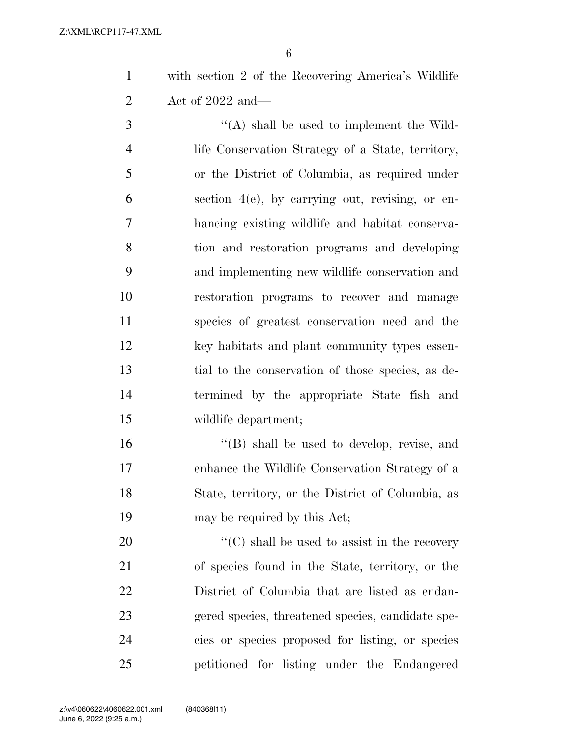with section 2 of the Recovering America's Wildlife Act of 2022 and—

 ''(A) shall be used to implement the Wild- life Conservation Strategy of a State, territory, or the District of Columbia, as required under section 4(e), by carrying out, revising, or en- hancing existing wildlife and habitat conserva- tion and restoration programs and developing and implementing new wildlife conservation and restoration programs to recover and manage species of greatest conservation need and the key habitats and plant community types essen- tial to the conservation of those species, as de- termined by the appropriate State fish and wildlife department;

16 "(B) shall be used to develop, revise, and enhance the Wildlife Conservation Strategy of a State, territory, or the District of Columbia, as may be required by this Act;

 ''(C) shall be used to assist in the recovery of species found in the State, territory, or the District of Columbia that are listed as endan- gered species, threatened species, candidate spe- cies or species proposed for listing, or species petitioned for listing under the Endangered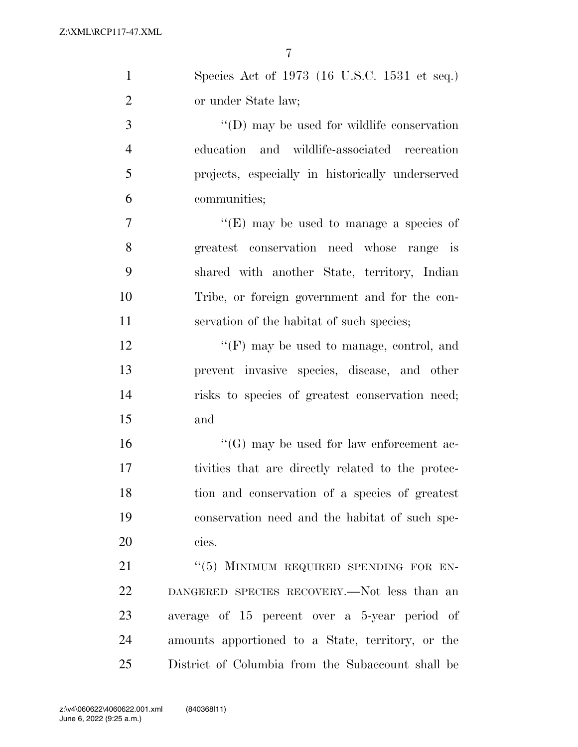$\overline{7}$ 

| $\mathbf{1}$   | Species Act of 1973 (16 U.S.C. 1531 et seq.)       |
|----------------|----------------------------------------------------|
| $\overline{2}$ | or under State law;                                |
| 3              | $\lq\lq$ (D) may be used for wildlife conservation |
| $\overline{4}$ | education and wildlife-associated recreation       |
| 5              | projects, especially in historically underserved   |
| 6              | communities;                                       |
| 7              | "(E) may be used to manage a species of            |
| 8              | greatest conservation need whose range is          |
| 9              | shared with another State, territory, Indian       |
| 10             | Tribe, or foreign government and for the con-      |
| 11             | servation of the habitat of such species;          |
| 12             | $\lq\lq(F)$ may be used to manage, control, and    |
| 13             | prevent invasive species, disease, and other       |
| 14             | risks to species of greatest conservation need;    |
| 15             | and                                                |
| 16             | $\lq\lq(G)$ may be used for law enforcement ac-    |
| 17             | tivities that are directly related to the protec-  |
| 18             | tion and conservation of a species of greatest     |
| 19             | conservation need and the habitat of such spe-     |
| 20             | cies.                                              |
| 21             | "(5) MINIMUM REQUIRED SPENDING FOR EN-             |

 DANGERED SPECIES RECOVERY.—Not less than an average of 15 percent over a 5-year period of amounts apportioned to a State, territory, or the District of Columbia from the Subaccount shall be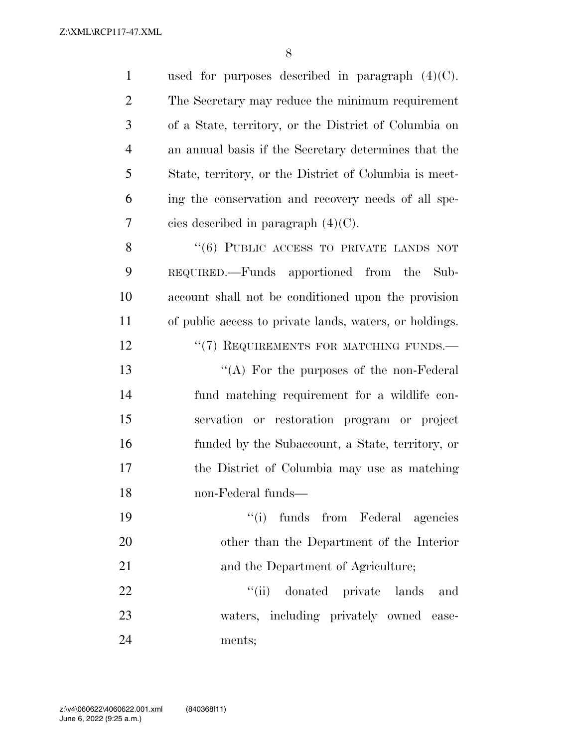| $\mathbf{1}$   | used for purposes described in paragraph $(4)(C)$ .     |
|----------------|---------------------------------------------------------|
| $\overline{2}$ | The Secretary may reduce the minimum requirement        |
| 3              | of a State, territory, or the District of Columbia on   |
| $\overline{4}$ | an annual basis if the Secretary determines that the    |
| 5              | State, territory, or the District of Columbia is meet-  |
| 6              | ing the conservation and recovery needs of all spe-     |
| 7              | cies described in paragraph $(4)(C)$ .                  |
| 8              | "(6) PUBLIC ACCESS TO PRIVATE LANDS NOT                 |
| 9              | REQUIRED.—Funds apportioned from the<br>Sub-            |
| 10             | account shall not be conditioned upon the provision     |
| 11             | of public access to private lands, waters, or holdings. |
| 12             | "(7) REQUIREMENTS FOR MATCHING FUNDS.-                  |
| 13             | "(A) For the purposes of the non-Federal                |
| 14             | fund matching requirement for a wildlife con-           |
| 15             | servation or restoration program or project             |
| 16             | funded by the Subaccount, a State, territory, or        |
| 17             | the District of Columbia may use as matching            |
| 18             | non-Federal funds-                                      |
| 19             | ``(i)<br>funds from Federal agencies                    |
| 20             | other than the Department of the Interior               |
| 21             | and the Department of Agriculture;                      |
| 22             | "(ii) donated private lands<br>and                      |
| 23             | waters, including privately owned ease-                 |
| 24             | ments;                                                  |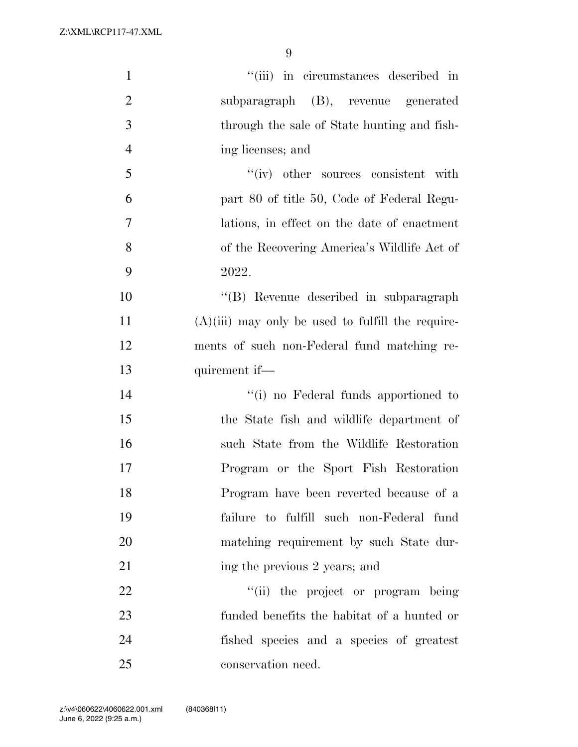| $\mathbf{1}$   | "(iii) in circumstances described in                |
|----------------|-----------------------------------------------------|
| $\overline{2}$ | subparagraph (B), revenue generated                 |
| 3              | through the sale of State hunting and fish-         |
| $\overline{4}$ | ing licenses; and                                   |
| 5              | "(iv) other sources consistent with                 |
| 6              | part 80 of title 50, Code of Federal Regu-          |
| $\overline{7}$ | lations, in effect on the date of enactment         |
| 8              | of the Recovering America's Wildlife Act of         |
| 9              | 2022.                                               |
| 10             | "(B) Revenue described in subparagraph              |
| 11             | $(A)(iii)$ may only be used to fulfill the require- |
| 12             | ments of such non-Federal fund matching re-         |
| 13             | quirement if—                                       |
| 14             | "(i) no Federal funds apportioned to                |
| 15             | the State fish and wildlife department of           |
| 16             | such State from the Wildlife Restoration            |
| 17             | Program or the Sport Fish Restoration               |
| 18             | Program have been reverted because of a             |
| 19             | failure to fulfill such non-Federal fund            |
| 20             | matching requirement by such State dur-             |
| 21             | ing the previous 2 years; and                       |
| 22             | "(ii) the project or program being                  |
| 23             | funded benefits the habitat of a hunted or          |
| 24             | fished species and a species of greatest            |
| 25             | conservation need.                                  |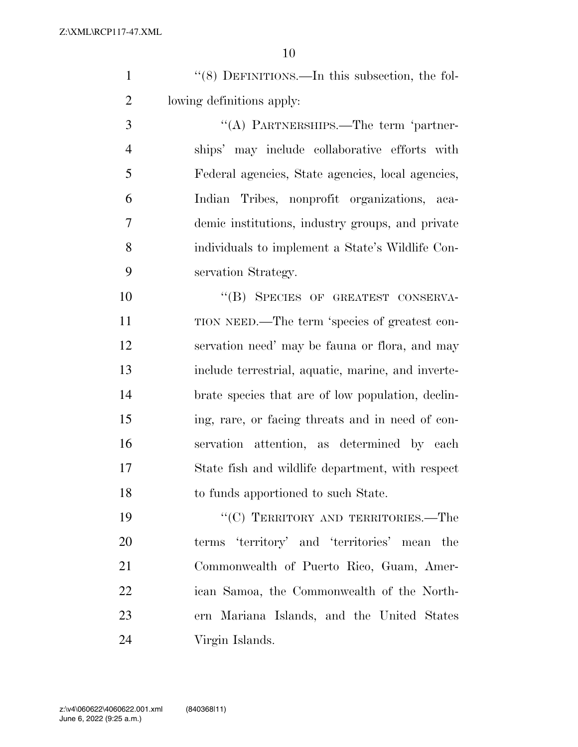| $\lq(8)$ DEFINITIONS.—In this subsection, the fol- |
|----------------------------------------------------|
| lowing definitions apply:                          |

3 "(A) PARTNERSHIPS.—The term 'partner- ships' may include collaborative efforts with Federal agencies, State agencies, local agencies, Indian Tribes, nonprofit organizations, aca- demic institutions, industry groups, and private individuals to implement a State's Wildlife Con-servation Strategy.

10 "(B) SPECIES OF GREATEST CONSERVA- TION NEED.—The term 'species of greatest con- servation need' may be fauna or flora, and may include terrestrial, aquatic, marine, and inverte- brate species that are of low population, declin- ing, rare, or facing threats and in need of con- servation attention, as determined by each State fish and wildlife department, with respect to funds apportioned to such State.

19 "'(C) TERRITORY AND TERRITORIES.—The terms 'territory' and 'territories' mean the Commonwealth of Puerto Rico, Guam, Amer- ican Samoa, the Commonwealth of the North- ern Mariana Islands, and the United States Virgin Islands.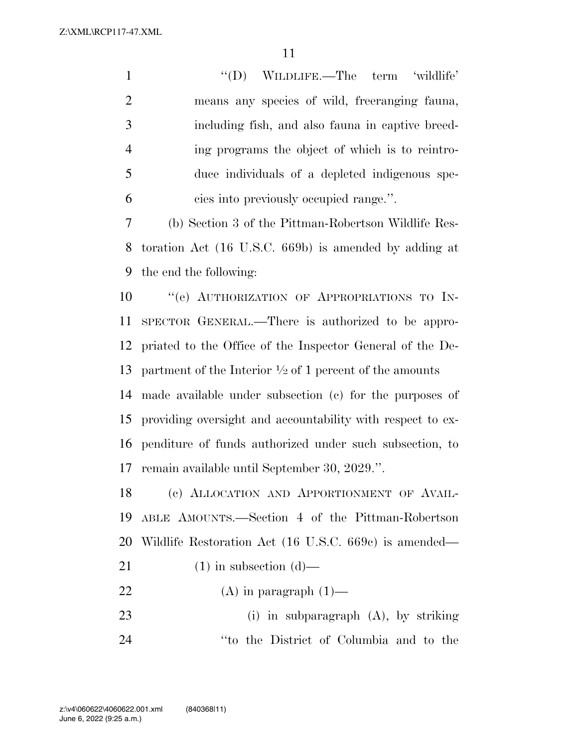1 ''(D) WILDLIFE.—The term 'wildlife' means any species of wild, freeranging fauna, including fish, and also fauna in captive breed- ing programs the object of which is to reintro- duce individuals of a depleted indigenous spe-cies into previously occupied range.''.

 (b) Section 3 of the Pittman-Robertson Wildlife Res- toration Act (16 U.S.C. 669b) is amended by adding at the end the following:

 $"$ (e) AUTHORIZATION OF APPROPRIATIONS TO IN- SPECTOR GENERAL.—There is authorized to be appro- priated to the Office of the Inspector General of the De-13 partment of the Interior  $\frac{1}{2}$  of 1 percent of the amounts

 made available under subsection (c) for the purposes of providing oversight and accountability with respect to ex- penditure of funds authorized under such subsection, to remain available until September 30, 2029.''.

 (c) ALLOCATION AND APPORTIONMENT OF AVAIL- ABLE AMOUNTS.—Section 4 of the Pittman-Robertson Wildlife Restoration Act (16 U.S.C. 669c) is amended—

- 21 (1) in subsection  $(d)$ —
- 22 (A) in paragraph  $(1)$ —

 (i) in subparagraph (A), by striking ''to the District of Columbia and to the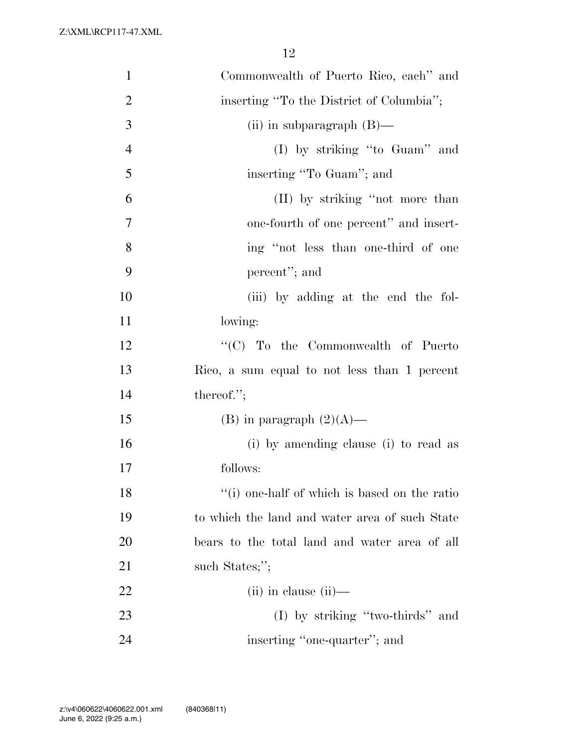| $\mathbf{1}$   | Commonwealth of Puerto Rico, each" and         |
|----------------|------------------------------------------------|
| $\overline{2}$ | inserting "To the District of Columbia";       |
| 3              | (ii) in subparagraph $(B)$ —                   |
| $\overline{4}$ | $(I)$ by striking "to Guam" and                |
| 5              | inserting "To Guam"; and                       |
| 6              | (II) by striking "not more than                |
| $\overline{7}$ | one-fourth of one percent" and insert-         |
| 8              | ing "not less than one-third of one            |
| 9              | percent"; and                                  |
| 10             | (iii) by adding at the end the fol-            |
| 11             | lowing:                                        |
| 12             | "(C) To the Commonwealth of Puerto             |
| 13             | Rico, a sum equal to not less than 1 percent   |
| 14             | thereof.";                                     |
| 15             | (B) in paragraph $(2)(A)$ —                    |
| 16             | (i) by amending clause (i) to read as          |
| 17             | follows:                                       |
| 18             | "(i) one-half of which is based on the ratio   |
| 19             | to which the land and water area of such State |
| 20             | bears to the total land and water area of all  |
| 21             | such States;";                                 |
| 22             | $(ii)$ in clause $(ii)$ —                      |
| 23             | (I) by striking "two-thirds" and               |
| 24             | inserting "one-quarter"; and                   |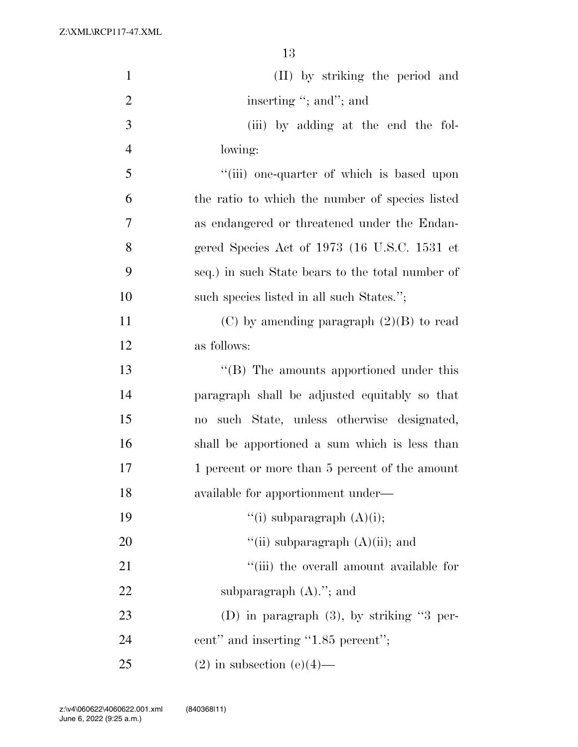| $\mathbf{1}$   | (II) by striking the period and                                    |
|----------------|--------------------------------------------------------------------|
| $\overline{2}$ | inserting "; and"; and                                             |
| 3              | (iii) by adding at the end the fol-                                |
| $\overline{4}$ | lowing:                                                            |
| 5              | "(iii) one-quarter of which is based upon                          |
| 6              | the ratio to which the number of species listed                    |
| 7              | as endangered or threatened under the Endan-                       |
| 8              | gered Species Act of 1973 (16 U.S.C. 1531 et                       |
| 9              | seq.) in such State bears to the total number of                   |
| 10             | such species listed in all such States.";                          |
| 11             | (C) by amending paragraph $(2)(B)$ to read                         |
| 12             | as follows:                                                        |
| 13             | $\lq\lq (B)$ The amounts apportioned under this                    |
| 14             | paragraph shall be adjusted equitably so that                      |
| 15             | such State, unless otherwise designated,<br>$\mathbf{n}\mathbf{o}$ |
| 16             | shall be apportioned a sum which is less than                      |
| 17             | 1 percent or more than 5 percent of the amount                     |
| 18             | available for apportionment under—                                 |
| 19             | "(i) subparagraph $(A)(i)$ ;                                       |
| 20             | "(ii) subparagraph $(A)(ii)$ ; and                                 |
| 21             | "(iii) the overall amount available for                            |
| 22             | subparagraph $(A)$ ."; and                                         |
| 23             | (D) in paragraph (3), by striking "3 per-                          |
| 24             | cent" and inserting "1.85 percent";                                |
| 25             | $(2)$ in subsection $(e)(4)$ —                                     |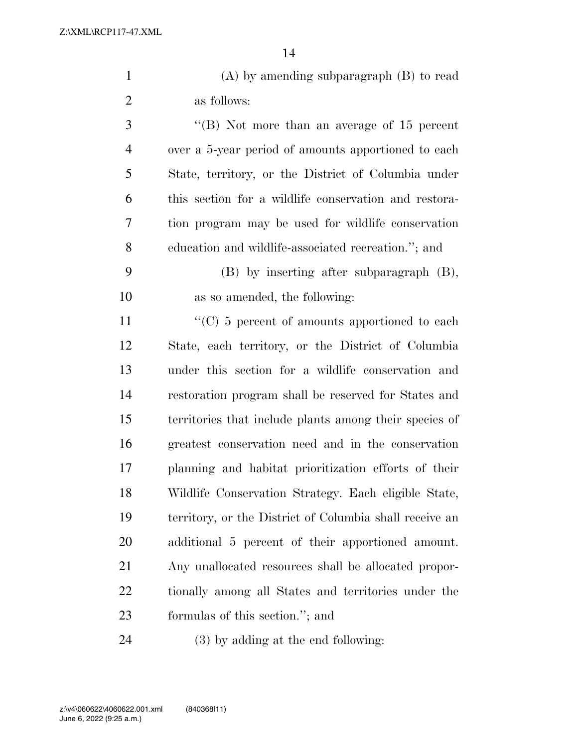| $(A)$ by amending subparagraph $(B)$ to read |
|----------------------------------------------|
| as follows:                                  |
|                                              |

 ''(B) Not more than an average of 15 percent over a 5-year period of amounts apportioned to each State, territory, or the District of Columbia under this section for a wildlife conservation and restora- tion program may be used for wildlife conservation education and wildlife-associated recreation.''; and

 (B) by inserting after subparagraph (B), as so amended, the following:

 $\langle ^{\prime}(C) \rangle$  5 percent of amounts apportioned to each State, each territory, or the District of Columbia under this section for a wildlife conservation and restoration program shall be reserved for States and territories that include plants among their species of greatest conservation need and in the conservation planning and habitat prioritization efforts of their Wildlife Conservation Strategy. Each eligible State, territory, or the District of Columbia shall receive an additional 5 percent of their apportioned amount. Any unallocated resources shall be allocated propor- tionally among all States and territories under the formulas of this section.''; and

(3) by adding at the end following: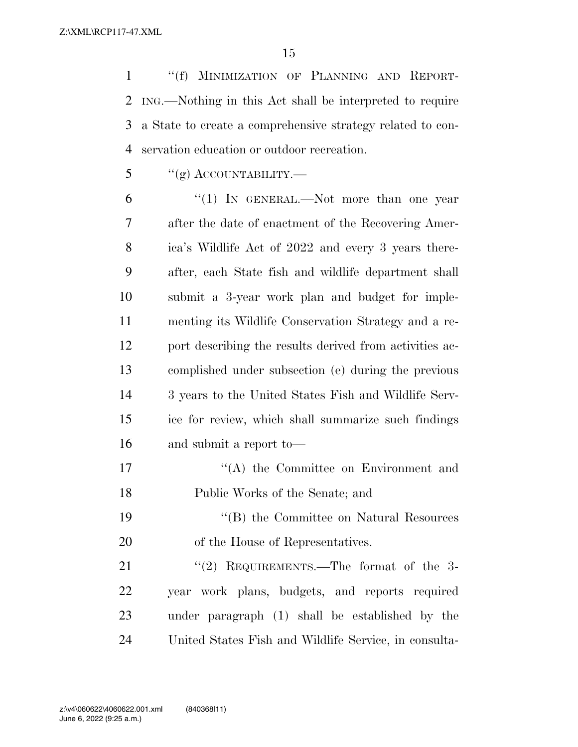''(f) MINIMIZATION OF PLANNING AND REPORT- ING.—Nothing in this Act shall be interpreted to require a State to create a comprehensive strategy related to con-servation education or outdoor recreation.

 $\frac{1}{2}$  ''(g) ACCOUNTABILITY.—

6 "(1) In GENERAL.—Not more than one year after the date of enactment of the Recovering Amer- ica's Wildlife Act of 2022 and every 3 years there- after, each State fish and wildlife department shall submit a 3-year work plan and budget for imple- menting its Wildlife Conservation Strategy and a re- port describing the results derived from activities ac- complished under subsection (e) during the previous 3 years to the United States Fish and Wildlife Serv- ice for review, which shall summarize such findings and submit a report to—

17 ''(A) the Committee on Environment and Public Works of the Senate; and

 ''(B) the Committee on Natural Resources of the House of Representatives.

21 "(2) REQUIREMENTS.—The format of the 3- year work plans, budgets, and reports required under paragraph (1) shall be established by the United States Fish and Wildlife Service, in consulta-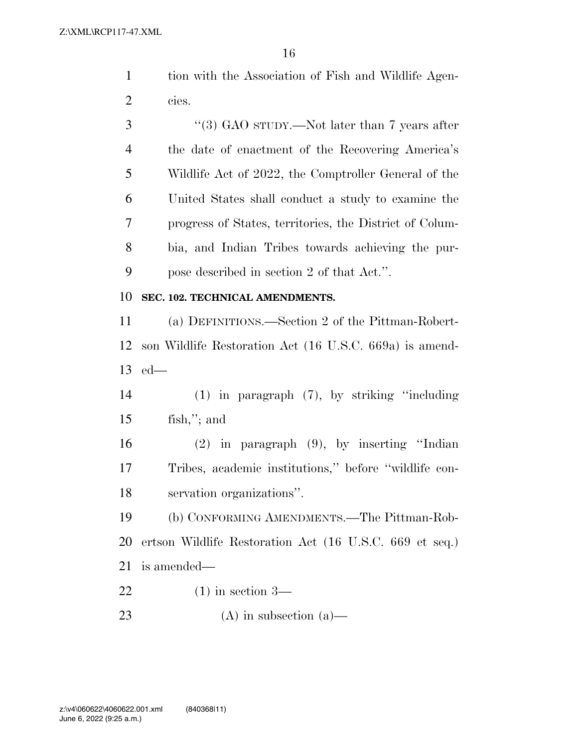|         | tion with the Association of Fish and Wildlife Agen- |
|---------|------------------------------------------------------|
| 2 cies. |                                                      |

3 "(3) GAO sTUDY.—Not later than 7 years after the date of enactment of the Recovering America's Wildlife Act of 2022, the Comptroller General of the United States shall conduct a study to examine the progress of States, territories, the District of Colum- bia, and Indian Tribes towards achieving the pur-pose described in section 2 of that Act.''.

#### **SEC. 102. TECHNICAL AMENDMENTS.**

 (a) DEFINITIONS.—Section 2 of the Pittman-Robert- son Wildlife Restoration Act (16 U.S.C. 669a) is amend-ed—

 (1) in paragraph (7), by striking ''including fish,''; and

 (2) in paragraph (9), by inserting ''Indian Tribes, academic institutions,'' before ''wildlife con-servation organizations''.

 (b) CONFORMING AMENDMENTS.—The Pittman-Rob- ertson Wildlife Restoration Act (16 U.S.C. 669 et seq.) is amended—

- (1) in section 3—
- (A) in subsection (a)—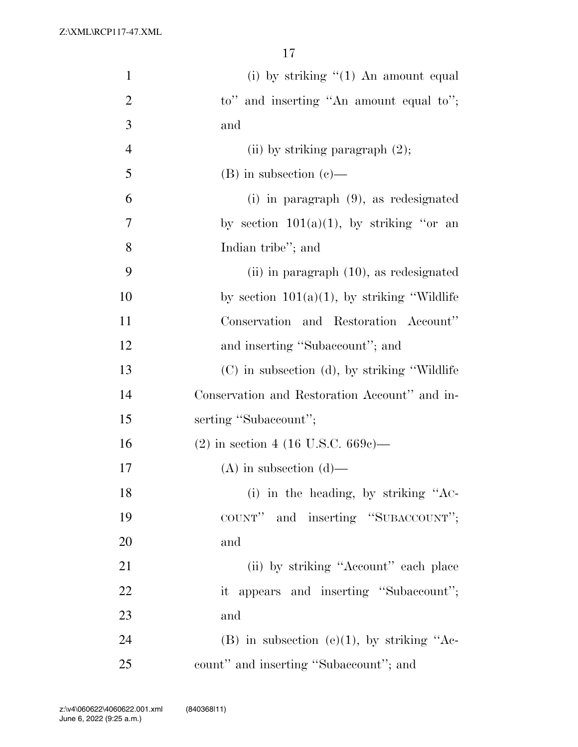| $\mathbf{1}$   | (i) by striking $\lq(1)$ An amount equal        |
|----------------|-------------------------------------------------|
| $\overline{2}$ | to" and inserting "An amount equal to";         |
| 3              | and                                             |
| $\overline{4}$ | (ii) by striking paragraph $(2)$ ;              |
| 5              | $(B)$ in subsection $(e)$ —                     |
| 6              | $(i)$ in paragraph $(9)$ , as redesignated      |
| 7              | by section $101(a)(1)$ , by striking "or an     |
| 8              | Indian tribe"; and                              |
| 9              | $(ii)$ in paragraph $(10)$ , as redesignated    |
| 10             | by section $101(a)(1)$ , by striking "Wildlife" |
| 11             | Conservation and Restoration Account"           |
| 12             | and inserting "Subaccount"; and                 |
| 13             | (C) in subsection (d), by striking "Wildlife"   |
| 14             | Conservation and Restoration Account" and in-   |
| 15             | serting "Subaccount";                           |
| 16             | $(2)$ in section 4 (16 U.S.C. 669c)—            |
| 17             | $(A)$ in subsection $(d)$ —                     |
| 18             | (i) in the heading, by striking "AC-            |
| 19             | COUNT" and inserting "SUBACCOUNT";              |
| 20             | and                                             |
| 21             | (ii) by striking "Account" each place           |
| 22             | it appears and inserting "Subaccount";          |
| 23             | and                                             |
| 24             | (B) in subsection (e)(1), by striking "Ac-      |
| 25             | count" and inserting "Subaccount"; and          |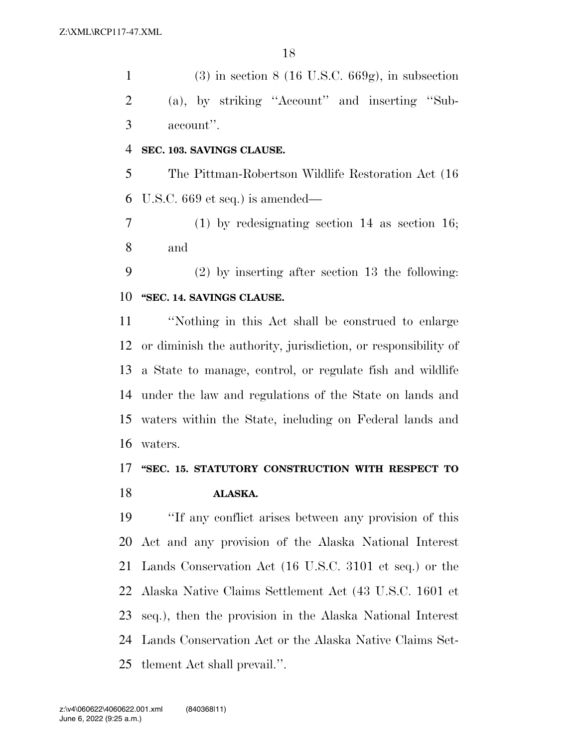1 (3) in section  $8(16 \text{ U.S.C. } 669 \text{ g})$ , in subsection (a), by striking ''Account'' and inserting ''Sub-account''.

#### **SEC. 103. SAVINGS CLAUSE.**

 The Pittman-Robertson Wildlife Restoration Act (16 U.S.C. 669 et seq.) is amended—

 (1) by redesignating section 14 as section 16; and

 (2) by inserting after section 13 the following: **''SEC. 14. SAVINGS CLAUSE.** 

 ''Nothing in this Act shall be construed to enlarge or diminish the authority, jurisdiction, or responsibility of a State to manage, control, or regulate fish and wildlife under the law and regulations of the State on lands and waters within the State, including on Federal lands and waters.

### **''SEC. 15. STATUTORY CONSTRUCTION WITH RESPECT TO ALASKA.**

 ''If any conflict arises between any provision of this Act and any provision of the Alaska National Interest Lands Conservation Act (16 U.S.C. 3101 et seq.) or the Alaska Native Claims Settlement Act (43 U.S.C. 1601 et seq.), then the provision in the Alaska National Interest Lands Conservation Act or the Alaska Native Claims Set-tlement Act shall prevail.''.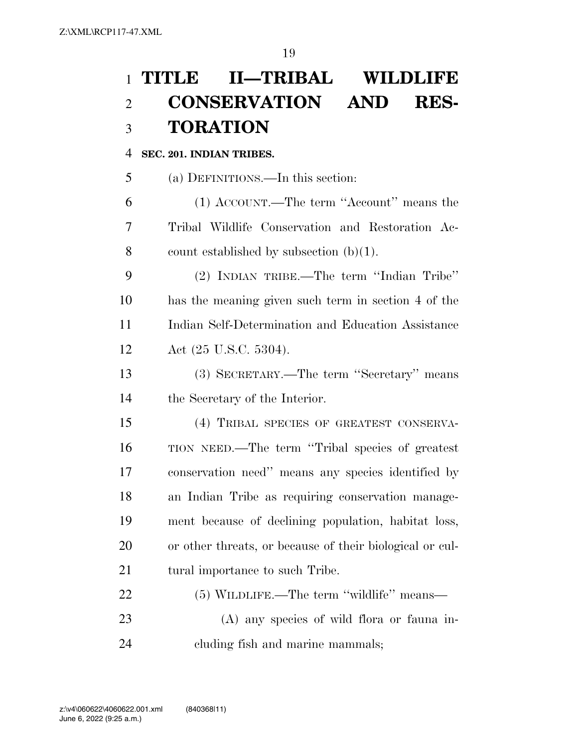## **TITLE II—TRIBAL WILDLIFE CONSERVATION AND RES-TORATION**

#### **SEC. 201. INDIAN TRIBES.**

(a) DEFINITIONS.—In this section:

 (1) ACCOUNT.—The term ''Account'' means the Tribal Wildlife Conservation and Restoration Ac-8 count established by subsection  $(b)(1)$ .

 (2) INDIAN TRIBE.—The term ''Indian Tribe'' has the meaning given such term in section 4 of the Indian Self-Determination and Education Assistance Act (25 U.S.C. 5304).

 (3) SECRETARY.—The term ''Secretary'' means the Secretary of the Interior.

 (4) TRIBAL SPECIES OF GREATEST CONSERVA- TION NEED.—The term ''Tribal species of greatest conservation need'' means any species identified by an Indian Tribe as requiring conservation manage- ment because of declining population, habitat loss, or other threats, or because of their biological or cul-21 tural importance to such Tribe.

| 22 | $(5)$ WILDLIFE.—The term "wildlife" means— |
|----|--------------------------------------------|
| 23 | (A) any species of wild flora or fauna in- |
| 24 | eluding fish and marine mammals;           |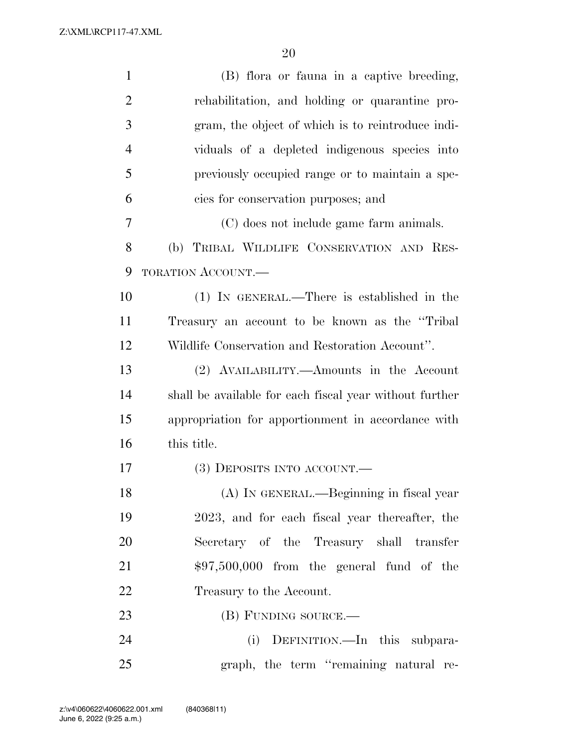| $\mathbf{1}$   | (B) flora or fauna in a captive breeding,               |
|----------------|---------------------------------------------------------|
| $\overline{2}$ | rehabilitation, and holding or quarantine pro-          |
| 3              | gram, the object of which is to reintroduce indi-       |
| $\overline{4}$ | viduals of a depleted indigenous species into           |
| 5              | previously occupied range or to maintain a spe-         |
| 6              | cies for conservation purposes; and                     |
| 7              | (C) does not include game farm animals.                 |
| 8              | (b) TRIBAL WILDLIFE CONSERVATION AND RES-               |
| 9              | TORATION ACCOUNT.                                       |
| 10             | (1) IN GENERAL.—There is established in the             |
| 11             | Treasury an account to be known as the "Tribal"         |
| 12             | Wildlife Conservation and Restoration Account".         |
| 13             | (2) AVAILABILITY.—Amounts in the Account                |
| 14             | shall be available for each fiscal year without further |
| 15             | appropriation for apportionment in accordance with      |
| 16             | this title.                                             |
| 17             | (3) DEPOSITS INTO ACCOUNT.—                             |
| 18             | (A) IN GENERAL.—Beginning in fiscal year                |
| 19             | 2023, and for each fiscal year thereafter, the          |
| 20             | Secretary of the Treasury shall transfer                |
| 21             | $$97,500,000$ from the general fund of the              |
| 22             | Treasury to the Account.                                |
| 23             | (B) FUNDING SOURCE.—                                    |
| 24             | (i) DEFINITION.—In this subpara-                        |
| 25             | graph, the term "remaining natural re-                  |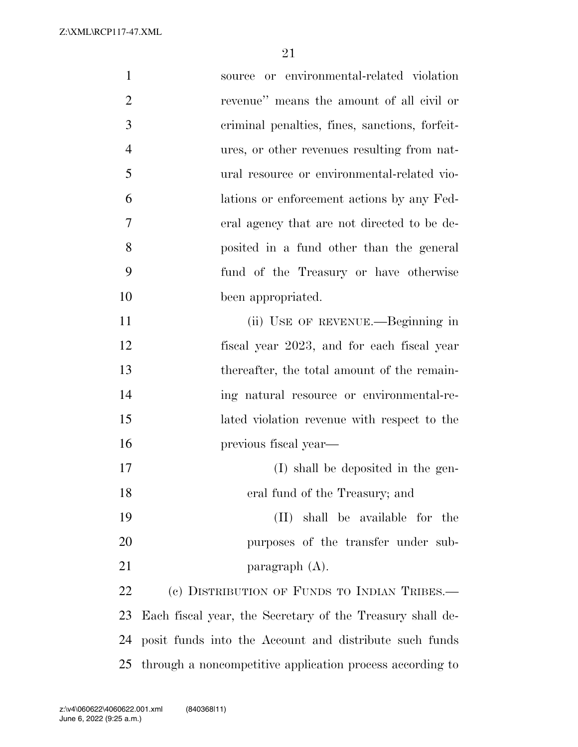| $\mathbf{1}$   | source or environmental-related violation                 |
|----------------|-----------------------------------------------------------|
| $\overline{2}$ | revenue" means the amount of all civil or                 |
| 3              | criminal penalties, fines, sanctions, forfeit-            |
| $\overline{4}$ | ures, or other revenues resulting from nat-               |
| 5              | ural resource or environmental-related vio-               |
| 6              | lations or enforcement actions by any Fed-                |
| 7              | eral agency that are not directed to be de-               |
| 8              | posited in a fund other than the general                  |
| 9              | fund of the Treasury or have otherwise                    |
| 10             | been appropriated.                                        |
| 11             | (ii) USE OF REVENUE.—Beginning in                         |
| 12             | fiscal year 2023, and for each fiscal year                |
| 13             | thereafter, the total amount of the remain-               |
| 14             | ing natural resource or environmental-re-                 |
| 15             | lated violation revenue with respect to the               |
| 16             | previous fiscal year—                                     |
| 17             | (I) shall be deposited in the gen-                        |
| 18             | eral fund of the Treasury; and                            |
| 19             | (II) shall be available for the                           |
| 20             | purposes of the transfer under sub-                       |
| 21             | paragraph $(A)$ .                                         |
| 22             | (c) DISTRIBUTION OF FUNDS TO INDIAN TRIBES.—              |
| 23             | Each fiscal year, the Secretary of the Treasury shall de- |
| 24             | posit funds into the Account and distribute such funds    |
| 25             | through a noncompetitive application process according to |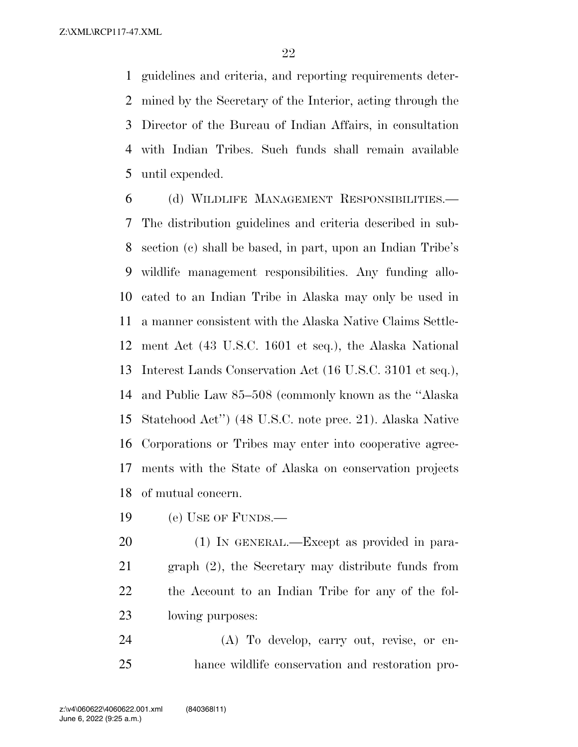guidelines and criteria, and reporting requirements deter- mined by the Secretary of the Interior, acting through the Director of the Bureau of Indian Affairs, in consultation with Indian Tribes. Such funds shall remain available until expended.

 (d) WILDLIFE MANAGEMENT RESPONSIBILITIES.— The distribution guidelines and criteria described in sub- section (c) shall be based, in part, upon an Indian Tribe's wildlife management responsibilities. Any funding allo- cated to an Indian Tribe in Alaska may only be used in a manner consistent with the Alaska Native Claims Settle- ment Act (43 U.S.C. 1601 et seq.), the Alaska National Interest Lands Conservation Act (16 U.S.C. 3101 et seq.), and Public Law 85–508 (commonly known as the ''Alaska Statehood Act'') (48 U.S.C. note prec. 21). Alaska Native Corporations or Tribes may enter into cooperative agree- ments with the State of Alaska on conservation projects of mutual concern.

(e) USE OF FUNDS.—

 (1) IN GENERAL.—Except as provided in para- graph (2), the Secretary may distribute funds from the Account to an Indian Tribe for any of the fol-lowing purposes:

 (A) To develop, carry out, revise, or en-hance wildlife conservation and restoration pro-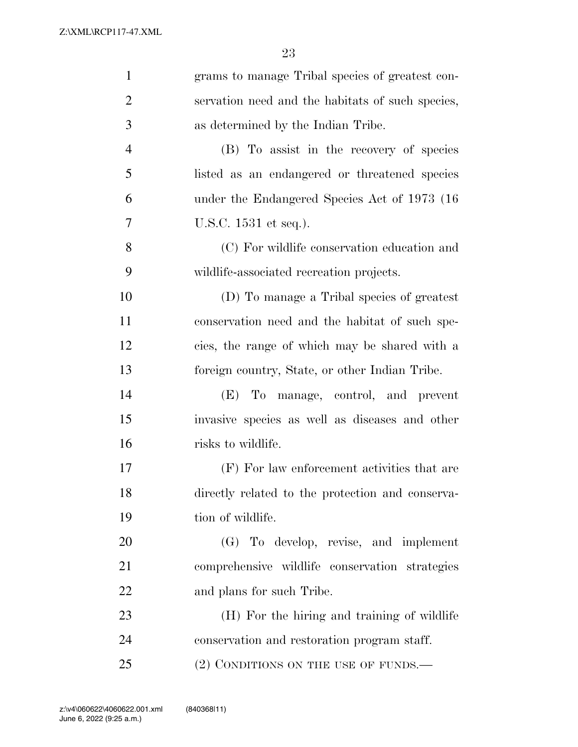| grams to manage Tribal species of greatest con-  |
|--------------------------------------------------|
| servation need and the habitats of such species, |
| as determined by the Indian Tribe.               |
| (B) To assist in the recovery of species         |
| listed as an endangered or threatened species    |
| under the Endangered Species Act of 1973 (16)    |
| U.S.C. 1531 et seq.).                            |
| (C) For wildlife conservation education and      |
| wildlife-associated recreation projects.         |
| (D) To manage a Tribal species of greatest       |
| conservation need and the habitat of such spe-   |
| cies, the range of which may be shared with a    |
| foreign country, State, or other Indian Tribe.   |
| To manage, control, and prevent<br>(E)           |
| invasive species as well as diseases and other   |
| risks to wildlife.                               |
| (F) For law enforcement activities that are      |
| directly related to the protection and conserva- |
| tion of wildlife.                                |
| (G) To develop, revise, and implement            |
| comprehensive wildlife conservation strategies   |
| and plans for such Tribe.                        |
| (H) For the hiring and training of wildlife      |
| conservation and restoration program staff.      |
| (2) CONDITIONS ON THE USE OF FUNDS.—             |
|                                                  |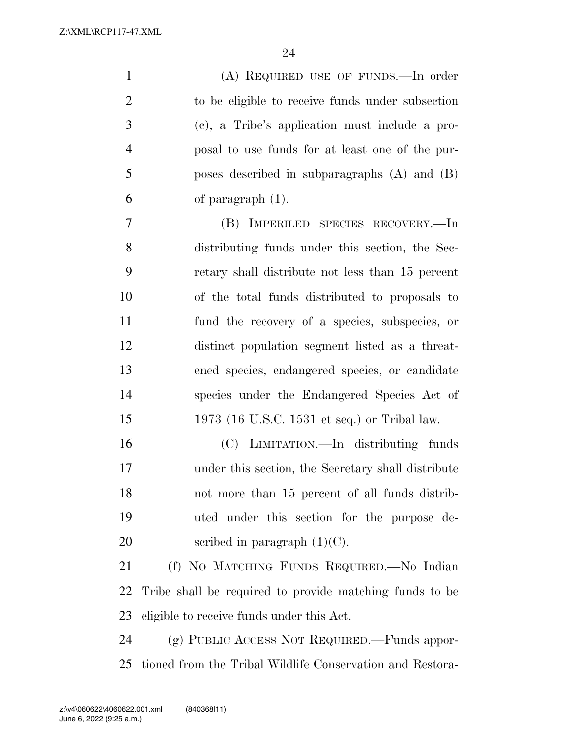| $\mathbf{1}$   | (A) REQUIRED USE OF FUNDS.—In order                     |
|----------------|---------------------------------------------------------|
| $\overline{2}$ | to be eligible to receive funds under subsection        |
| 3              | (c), a Tribe's application must include a pro-          |
| $\overline{4}$ | posal to use funds for at least one of the pur-         |
| 5              | poses described in subparagraphs $(A)$ and $(B)$        |
| 6              | of paragraph $(1)$ .                                    |
| $\tau$         | (B) IMPERILED SPECIES RECOVERY.—In                      |
| 8              | distributing funds under this section, the Sec-         |
| 9              | retary shall distribute not less than 15 percent        |
| 10             | of the total funds distributed to proposals to          |
| 11             | fund the recovery of a species, subspecies, or          |
| 12             | distinct population segment listed as a threat-         |
| 13             | ened species, endangered species, or candidate          |
| 14             | species under the Endangered Species Act of             |
| 15             | 1973 (16 U.S.C. 1531 et seq.) or Tribal law.            |
| 16             | (C) LIMITATION.—In distributing funds                   |
| 17             | under this section, the Secretary shall distribute      |
| 18             | not more than 15 percent of all funds distrib-          |
| 19             | uted under this section for the purpose de-             |
| 20             | scribed in paragraph $(1)(C)$ .                         |
| 21             | (f) NO MATCHING FUNDS REQUIRED.—No Indian               |
| 22             | Tribe shall be required to provide matching funds to be |
| 23             | eligible to receive funds under this Act.               |
| 24             | (g) PUBLIC ACCESS NOT REQUIRED.—Funds appor-            |

tioned from the Tribal Wildlife Conservation and Restora-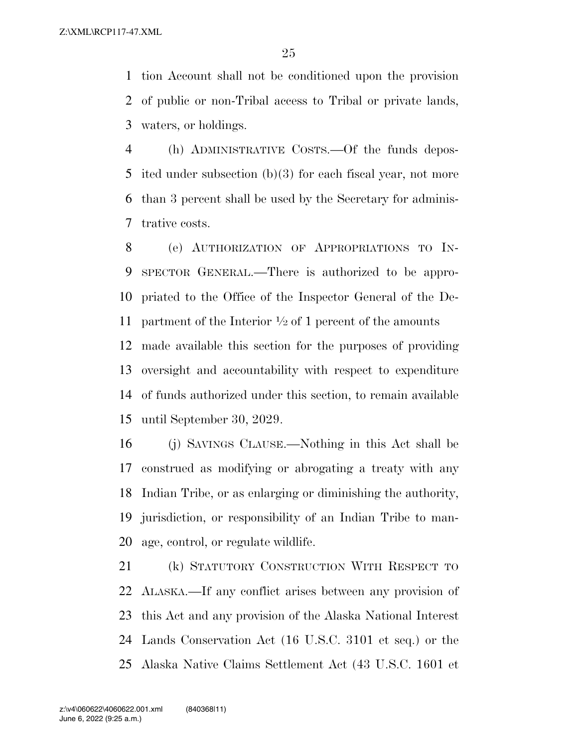tion Account shall not be conditioned upon the provision of public or non-Tribal access to Tribal or private lands, waters, or holdings.

 (h) ADMINISTRATIVE COSTS.—Of the funds depos- ited under subsection (b)(3) for each fiscal year, not more than 3 percent shall be used by the Secretary for adminis-trative costs.

 (e) AUTHORIZATION OF APPROPRIATIONS TO IN- SPECTOR GENERAL.—There is authorized to be appro- priated to the Office of the Inspector General of the De-11 partment of the Interior  $\frac{1}{2}$  of 1 percent of the amounts made available this section for the purposes of providing oversight and accountability with respect to expenditure of funds authorized under this section, to remain available until September 30, 2029.

 (j) SAVINGS CLAUSE.—Nothing in this Act shall be construed as modifying or abrogating a treaty with any Indian Tribe, or as enlarging or diminishing the authority, jurisdiction, or responsibility of an Indian Tribe to man-age, control, or regulate wildlife.

 (k) STATUTORY CONSTRUCTION WITH RESPECT TO ALASKA.—If any conflict arises between any provision of this Act and any provision of the Alaska National Interest Lands Conservation Act (16 U.S.C. 3101 et seq.) or the Alaska Native Claims Settlement Act (43 U.S.C. 1601 et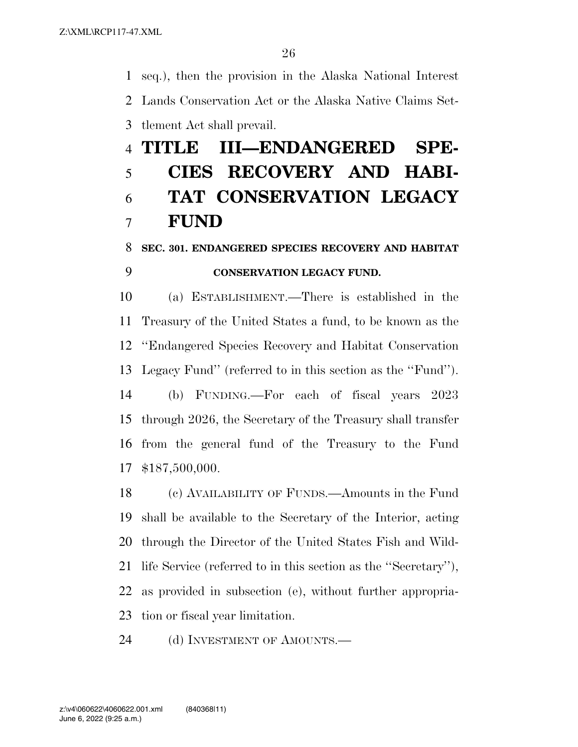seq.), then the provision in the Alaska National Interest Lands Conservation Act or the Alaska Native Claims Set-tlement Act shall prevail.

# **TITLE III—ENDANGERED SPE- CIES RECOVERY AND HABI- TAT CONSERVATION LEGACY FUND**

### **SEC. 301. ENDANGERED SPECIES RECOVERY AND HABITAT CONSERVATION LEGACY FUND.**

 (a) ESTABLISHMENT.—There is established in the Treasury of the United States a fund, to be known as the ''Endangered Species Recovery and Habitat Conservation Legacy Fund'' (referred to in this section as the ''Fund'').

 (b) FUNDING.—For each of fiscal years 2023 through 2026, the Secretary of the Treasury shall transfer from the general fund of the Treasury to the Fund \$187,500,000.

 (c) AVAILABILITY OF FUNDS.—Amounts in the Fund shall be available to the Secretary of the Interior, acting through the Director of the United States Fish and Wild- life Service (referred to in this section as the ''Secretary''), as provided in subsection (e), without further appropria-tion or fiscal year limitation.

24 (d) INVESTMENT OF AMOUNTS.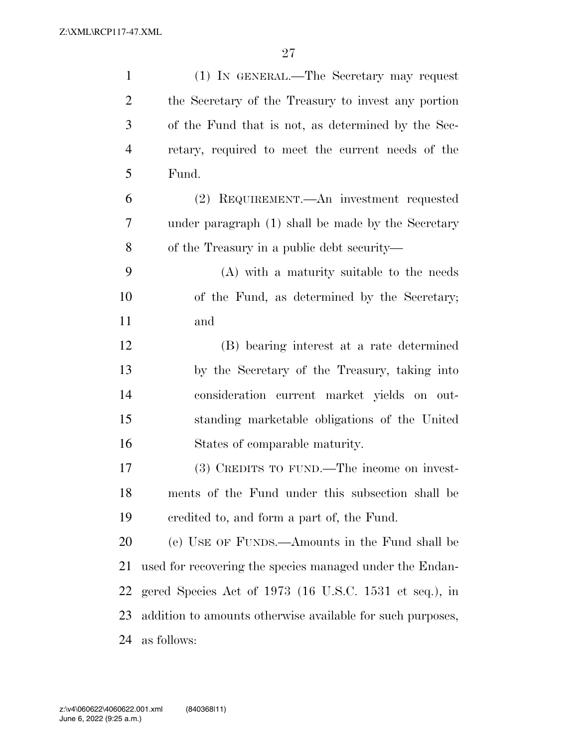| $\mathbf{1}$   | (1) IN GENERAL.—The Secretary may request                  |
|----------------|------------------------------------------------------------|
| $\overline{2}$ | the Secretary of the Treasury to invest any portion        |
| 3              | of the Fund that is not, as determined by the Sec-         |
| $\overline{4}$ | retary, required to meet the current needs of the          |
| 5              | Fund.                                                      |
| 6              | (2) REQUIREMENT.—An investment requested                   |
| 7              | under paragraph (1) shall be made by the Secretary         |
| 8              | of the Treasury in a public debt security—                 |
| 9              | (A) with a maturity suitable to the needs                  |
| 10             | of the Fund, as determined by the Secretary;               |
| 11             | and                                                        |
| 12             | (B) bearing interest at a rate determined                  |
| 13             | by the Secretary of the Treasury, taking into              |
| 14             | consideration current market yields on out-                |
| 15             | standing marketable obligations of the United              |
| 16             | States of comparable maturity.                             |
| 17             | (3) CREDITS TO FUND.—The income on invest-                 |
| 18             | ments of the Fund under this subsection shall be           |
| 19             | eredited to, and form a part of, the Fund.                 |
| 20             | (e) USE OF FUNDS.—Amounts in the Fund shall be             |
| 21             | used for recovering the species managed under the Endan-   |
| 22             | gered Species Act of 1973 (16 U.S.C. 1531 et seq.), in     |
| 23             | addition to amounts otherwise available for such purposes, |
| 24             | as follows:                                                |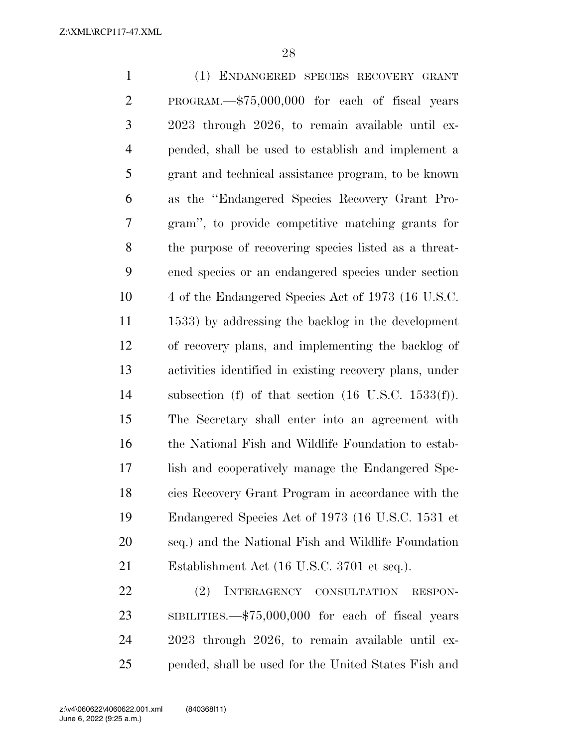(1) ENDANGERED SPECIES RECOVERY GRANT PROGRAM.—\$75,000,000 for each of fiscal years 2023 through 2026, to remain available until ex- pended, shall be used to establish and implement a grant and technical assistance program, to be known as the ''Endangered Species Recovery Grant Pro- gram'', to provide competitive matching grants for the purpose of recovering species listed as a threat- ened species or an endangered species under section 4 of the Endangered Species Act of 1973 (16 U.S.C. 1533) by addressing the backlog in the development of recovery plans, and implementing the backlog of activities identified in existing recovery plans, under subsection (f) of that section (16 U.S.C. 1533(f)). The Secretary shall enter into an agreement with the National Fish and Wildlife Foundation to estab- lish and cooperatively manage the Endangered Spe- cies Recovery Grant Program in accordance with the Endangered Species Act of 1973 (16 U.S.C. 1531 et seq.) and the National Fish and Wildlife Foundation Establishment Act (16 U.S.C. 3701 et seq.). (2) INTERAGENCY CONSULTATION RESPON-

 SIBILITIES.—\$75,000,000 for each of fiscal years 2023 through 2026, to remain available until ex-pended, shall be used for the United States Fish and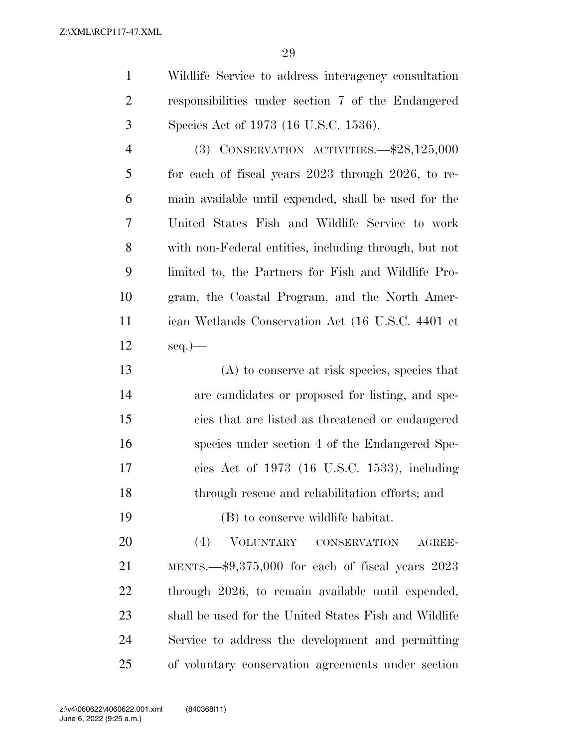Wildlife Service to address interagency consultation responsibilities under section 7 of the Endangered Species Act of 1973 (16 U.S.C. 1536).

 (3) CONSERVATION ACTIVITIES.—\$28,125,000 for each of fiscal years 2023 through 2026, to re- main available until expended, shall be used for the United States Fish and Wildlife Service to work with non-Federal entities, including through, but not limited to, the Partners for Fish and Wildlife Pro- gram, the Coastal Program, and the North Amer- ican Wetlands Conservation Act (16 U.S.C. 4401 et seq.)—

 (A) to conserve at risk species, species that are candidates or proposed for listing, and spe- cies that are listed as threatened or endangered species under section 4 of the Endangered Spe- cies Act of 1973 (16 U.S.C. 1533), including through rescue and rehabilitation efforts; and (B) to conserve wildlife habitat.

 (4) VOLUNTARY CONSERVATION AGREE- MENTS.—\$9,375,000 for each of fiscal years 2023 through 2026, to remain available until expended, shall be used for the United States Fish and Wildlife Service to address the development and permitting of voluntary conservation agreements under section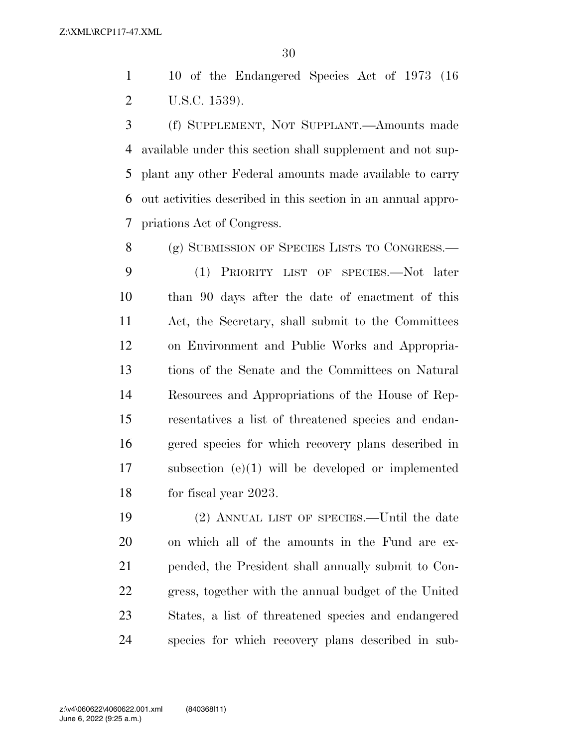10 of the Endangered Species Act of 1973 (16 U.S.C. 1539).

 (f) SUPPLEMENT, NOT SUPPLANT.—Amounts made available under this section shall supplement and not sup- plant any other Federal amounts made available to carry out activities described in this section in an annual appro-priations Act of Congress.

 (g) SUBMISSION OF SPECIES LISTS TO CONGRESS.— (1) PRIORITY LIST OF SPECIES.—Not later than 90 days after the date of enactment of this Act, the Secretary, shall submit to the Committees on Environment and Public Works and Appropria- tions of the Senate and the Committees on Natural Resources and Appropriations of the House of Rep- resentatives a list of threatened species and endan- gered species for which recovery plans described in subsection (e)(1) will be developed or implemented 18 for fiscal year 2023.

 (2) ANNUAL LIST OF SPECIES.—Until the date on which all of the amounts in the Fund are ex- pended, the President shall annually submit to Con- gress, together with the annual budget of the United States, a list of threatened species and endangered species for which recovery plans described in sub-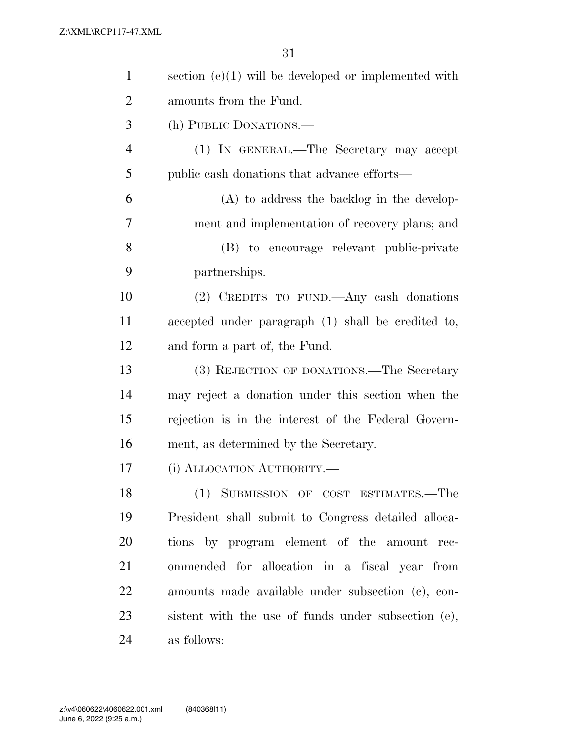| $\mathbf{1}$   | section $(e)(1)$ will be developed or implemented with |
|----------------|--------------------------------------------------------|
| $\overline{2}$ | amounts from the Fund.                                 |
| 3              | (h) PUBLIC DONATIONS.—                                 |
| $\overline{4}$ | (1) IN GENERAL.—The Secretary may accept               |
| 5              | public cash donations that advance efforts—            |
| 6              | $(A)$ to address the backlog in the develop-           |
| 7              | ment and implementation of recovery plans; and         |
| $8\,$          | (B) to encourage relevant public-private               |
| 9              | partnerships.                                          |
| 10             | (2) CREDITS TO FUND.—Any cash donations                |
| 11             | accepted under paragraph (1) shall be credited to,     |
| 12             | and form a part of, the Fund.                          |
| 13             | (3) REJECTION OF DONATIONS.—The Secretary              |
| 14             | may reject a donation under this section when the      |
| 15             | rejection is in the interest of the Federal Govern-    |
| 16             | ment, as determined by the Secretary.                  |
| 17             | (i) ALLOCATION AUTHORITY.                              |
| 18             | (1) SUBMISSION OF COST ESTIMATES.—The                  |
| 19             | President shall submit to Congress detailed alloca-    |
| <b>20</b>      | tions by program element of the amount rec-            |
| 21             | ommended for allocation in a fiscal year from          |
| 22             | amounts made available under subsection (c), con-      |
| 23             | sistent with the use of funds under subsection (e),    |
| 24             | as follows:                                            |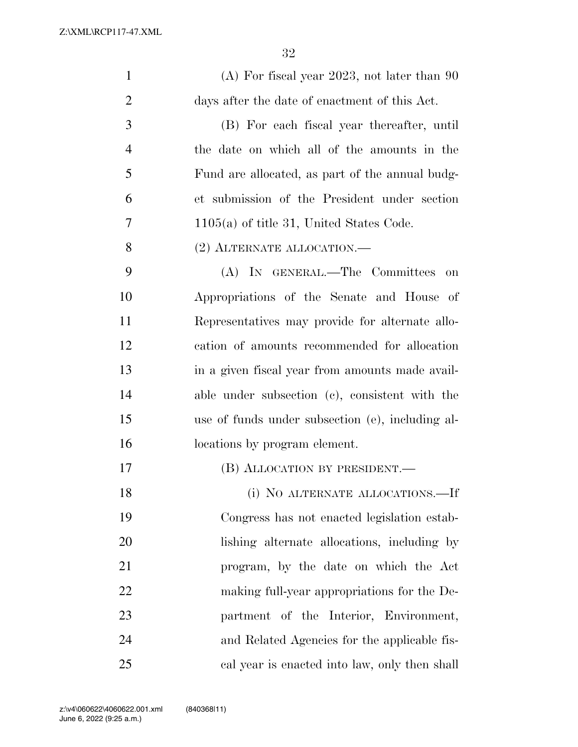| $\mathbf{1}$   | $(A)$ For fiscal year 2023, not later than 90    |
|----------------|--------------------------------------------------|
| $\overline{2}$ | days after the date of enactment of this Act.    |
| 3              | (B) For each fiscal year thereafter, until       |
| $\overline{4}$ | the date on which all of the amounts in the      |
| 5              | Fund are allocated, as part of the annual budg-  |
| 6              | et submission of the President under section     |
| 7              | $1105(a)$ of title 31, United States Code.       |
| 8              | $(2)$ ALTERNATE ALLOCATION.—                     |
| 9              | (A) IN GENERAL.—The Committees<br>on             |
| 10             | Appropriations of the Senate and House of        |
| 11             | Representatives may provide for alternate allo-  |
| 12             | cation of amounts recommended for allocation     |
| 13             | in a given fiscal year from amounts made avail-  |
| 14             | able under subsection (c), consistent with the   |
| 15             | use of funds under subsection (e), including al- |
| 16             | locations by program element.                    |
| 17             | (B) ALLOCATION BY PRESIDENT.—                    |
| 18             | (i) NO ALTERNATE ALLOCATIONS.—If                 |
| 19             | Congress has not enacted legislation estab-      |
| 20             | lishing alternate allocations, including by      |
| 21             | program, by the date on which the Act            |
| 22             | making full-year appropriations for the De-      |
| 23             | partment of the Interior, Environment,           |
| 24             | and Related Agencies for the applicable fis-     |
| 25             | cal year is enacted into law, only then shall    |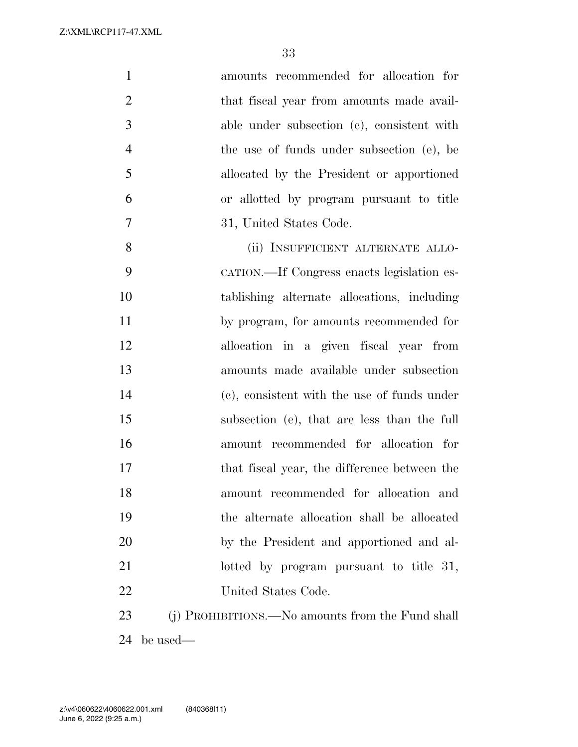| $\mathbf{1}$   | amounts recommended for allocation for           |
|----------------|--------------------------------------------------|
| $\overline{2}$ | that fiscal year from amounts made avail-        |
| 3              | able under subsection (c), consistent with       |
| $\overline{4}$ | the use of funds under subsection (e), be        |
| 5              | allocated by the President or apportioned        |
| 6              | or allotted by program pursuant to title         |
| 7              | 31, United States Code.                          |
| 8              | (ii) INSUFFICIENT ALTERNATE ALLO-                |
| 9              | CATION.—If Congress enacts legislation es-       |
| 10             | tablishing alternate allocations, including      |
| 11             | by program, for amounts recommended for          |
| 12             | allocation in a given fiscal year from           |
| 13             | amounts made available under subsection          |
| 14             | (c), consistent with the use of funds under      |
| 15             | subsection (e), that are less than the full      |
| 16             | amount recommended for allocation for            |
| 17             | that fiscal year, the difference between the     |
| 18             | amount recommended for allocation and            |
| 19             | the alternate allocation shall be allocated      |
| 20             | by the President and apportioned and al-         |
| 21             | lotted by program pursuant to title 31,          |
| 22             | United States Code.                              |
| 23             | (j) PROHIBITIONS.—No amounts from the Fund shall |
| 24             | be used—                                         |